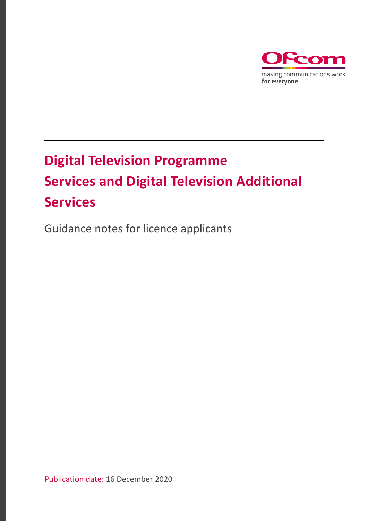

# **Digital Television Programme Services and Digital Television Additional Services**

Guidance notes for licence applicants

Publication date: 16 December 2020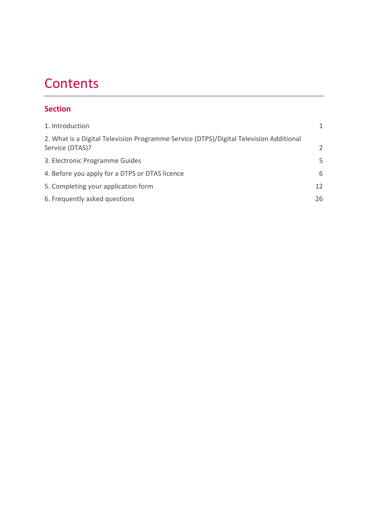# **Contents**

## **Section**

| 1. Introduction                                                                                           | 1             |
|-----------------------------------------------------------------------------------------------------------|---------------|
| 2. What is a Digital Television Programme Service (DTPS)/Digital Television Additional<br>Service (DTAS)? | $\mathcal{P}$ |
| 3. Electronic Programme Guides                                                                            | 5             |
| 4. Before you apply for a DTPS or DTAS licence                                                            | 6             |
| 5. Completing your application form                                                                       | 12            |
| 6. Frequently asked questions                                                                             | 26            |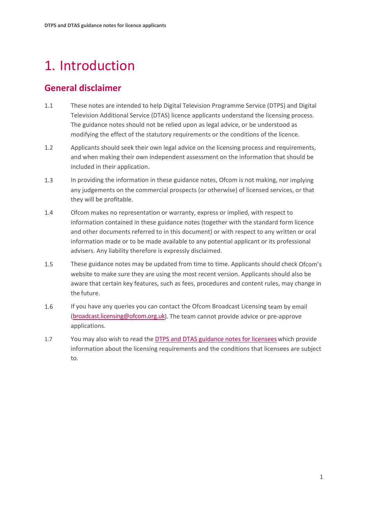# <span id="page-2-0"></span>1. Introduction

## **General disclaimer**

- 1.1 These notes are intended to help Digital Television Programme Service (DTPS) and Digital Television Additional Service (DTAS) licence applicants understand the licensing process. The guidance notes should not be relied upon as legal advice, or be understood as modifying the effect of the statutory requirements or the conditions of the licence.
- 1.2 Applicants should seek their own legal advice on the licensing process and requirements, and when making their own independent assessment on the information that should be included in their application.
- 1.3 In providing the information in these guidance notes, Ofcom is not making, nor implying any judgements on the commercial prospects (or otherwise) of licensed services, or that they will be profitable.
- 1.4 Ofcom makes no representation or warranty, express or implied, with respect to information contained in these guidance notes (together with the standard form licence and other documents referred to in this document) or with respect to any written or oral information made or to be made available to any potential applicant or its professional advisers. Any liability therefore is expressly disclaimed.
- 1.5 These guidance notes may be updated from time to time. Applicants should check Ofcom's website to make sure they are using the most recent version. Applicants should also be aware that certain key features, such as fees, procedures and content rules, may change in the future.
- 1.6 If you have any queries you can contact the Ofcom Broadcast Licensing team by email [\(broadcast.licensing@ofcom.org.uk\)](mailto:broadcast.licensing@ofcom.org.uk). The team cannot provide advice or pre-approve applications.
- 1.7 You may also wish to read the **[DTPS and DTAS guidance notes for licensees](https://www.ofcom.org.uk/__data/assets/pdf_file/0019/209413/dtps-dtas-guidance-notes-for-licensees.pdf)** which provide information about the licensing requirements and the conditions that licensees are subject to.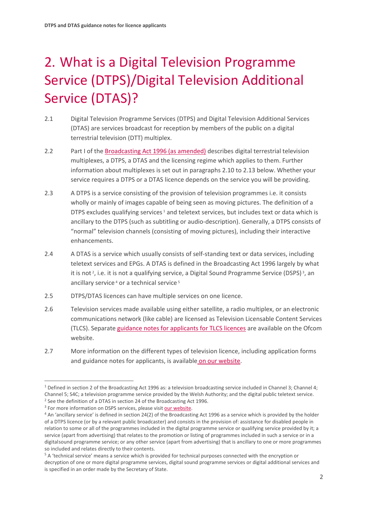# <span id="page-3-0"></span>2. What is a Digital Television Programme Service (DTPS)/Digital Television Additional Service (DTAS)?

- 2.1 Digital Television Programme Services (DTPS) and Digital Television Additional Services (DTAS) are services broadcast for reception by members of the public on a digital terrestrial television (DTT) multiplex.
- 2.2 Part I of the [Broadcasting Act 1996 \(as amended\)](https://www.legislation.gov.uk/ukpga/1996/55/contents) describes digital terrestrial television multiplexes, a DTPS, a DTAS and the licensing regime which applies to them. Further information about multiplexes is set out in paragraphs 2.10 to 2.13 below. Whether your service requires a DTPS or a DTAS licence depends on the service you will be providing.
- 2.3 A DTPS is a service consisting of the provision of television programmes i.e. it consists wholly or mainly of images capable of being seen as moving pictures. The definition of a DTPS excludes qualifying services<sup>[1](#page-3-1)</sup> and teletext services, but includes text or data which is ancillary to the DTPS (such as subtitling or audio-description). Generally, a DTPS consists of "normal" television channels (consisting of moving pictures), including their interactive enhancements.
- 2.4 A DTAS is a service which usually consists of self-standing text or data services, including teletext services and EPGs. A DTAS is defined in the Broadcasting Act 1996 largely by what it is not  $2$ , i.e. it is not a qualifying service, a Digital Sound Programme Service (DSPS)<sup>3</sup>, an ancillary service<sup>[4](#page-3-4)</sup> or a technical service<sup>[5](#page-3-5)</sup>
- 2.5 DTPS/DTAS licences can have multiple services on one licence.
- 2.6 Television services made available using either satellite, a radio multiplex, or an electronic communications network (like cable) are licensed as Television Licensable Content Services (TLCS). Separat[e guidance notes for applicants for TLCS licences](https://www.ofcom.org.uk/__data/assets/pdf_file/0024/209409/tlcs-guidance-notes-for-applicants.pdf) are available on the Ofcom website.
- 2.7 More information on the different types of television licence, including application forms and guidance notes for applicants, is available [on our website.](https://www.ofcom.org.uk/manage-your-licence/tv-broadcast-licences/apply-for-a-tv-broadcast-licence)

<span id="page-3-1"></span><sup>1</sup> Defined in section 2 of the Broadcasting Act 1996 as: a television broadcasting service included in Channel 3; Channel 4; Channel 5; S4C; a television programme service provided by the Welsh Authority; and the digital public teletext service.  $2$  See the definition of a DTAS in section 24 of the Broadcasting Act 1996.

<span id="page-3-3"></span><span id="page-3-2"></span><sup>&</sup>lt;sup>3</sup> For more information on DSPS services, please visit [our website.](https://www.ofcom.org.uk/manage-your-licence/tv-broadcast-licences/apply-for-a-tv-broadcast-licence)

<span id="page-3-4"></span><sup>4</sup> An 'ancillary service' is defined in section 24(2) of the Broadcasting Act 1996 as a service which is provided by the holder of a DTPS licence (or by a relevant public broadcaster) and consists in the provision of: assistance for disabled people in relation to some or all of the programmes included in the digital programme service or qualifying service provided by it; a service (apart from advertising) that relates to the promotion or listing of programmes included in such a service or in a digitalsound programme service; or any other service (apart from advertising) that is ancillary to one or more programmes so included and relates directly to their contents.

<span id="page-3-5"></span><sup>&</sup>lt;sup>5</sup> A 'technical service' means a service which is provided for technical purposes connected with the encryption or decryption of one or more digital programme services, digital sound programme services or digital additional services and is specified in an order made by the Secretary of State.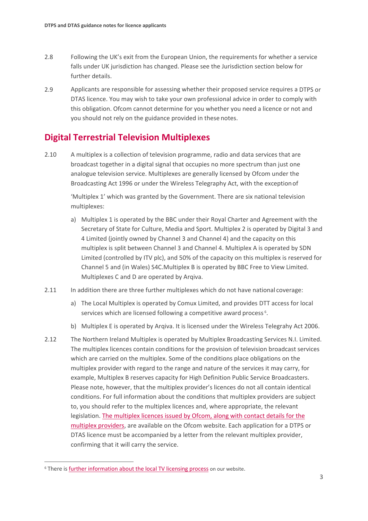- 2.8 Following the UK's exit from the European Union, the requirements for whether a service falls under UK jurisdiction has changed. Please see the Jurisdiction section below for further details.
- 2.9 Applicants are responsible for assessing whether their proposed service requires a DTPS or DTAS licence. You may wish to take your own professional advice in order to comply with this obligation. Ofcom cannot determine for you whether you need a licence or not and you should not rely on the guidance provided in these notes.

## **Digital Terrestrial Television Multiplexes**

2.10 A multiplex is a collection of television programme, radio and data services that are broadcast together in a digital signal that occupies no more spectrum than just one analogue television service. Multiplexes are generally licensed by Ofcom under the Broadcasting Act 1996 or under the Wireless Telegraphy Act, with the exceptionof

> 'Multiplex 1' which was granted by the Government. There are six national television multiplexes:

- a) Multiplex 1 is operated by the BBC under their Royal Charter and Agreement with the Secretary of State for Culture, Media and Sport. Multiplex 2 is operated by Digital 3 and 4 Limited (jointly owned by Channel 3 and Channel 4) and the capacity on this multiplex is split between Channel 3 and Channel 4. Multiplex A is operated by SDN Limited (controlled by ITV plc), and 50% of the capacity on this multiplex is reserved for Channel 5 and (in Wales) S4C.Multiplex B is operated by BBC Free to View Limited. Multiplexes C and D are operated by Arqiva.
- 2.11 In addition there are three further multiplexes which do not have national coverage:
	- a) The Local Multiplex is operated by Comux Limited, and provides DTT access for local services which are licensed following a competitive award process<sup>[6](#page-4-0)</sup>.
	- b) Multiplex E is operated by Arqiva. It is licensed under the Wireless Telegrahy Act 2006.
- 2.12 The Northern Ireland Multiplex is operated by Multiplex Broadcasting Services N.I. Limited. The multiplex licences contain conditions for the provision of television broadcast services which are carried on the multiplex. Some of the conditions place obligations on the multiplex provider with regard to the range and nature of the services it may carry, for example, Multiplex B reserves capacity for High Definition Public Service Broadcasters. Please note, however, that the multiplex provider's licences do not all contain identical conditions. For full information about the conditions that multiplex providers are subject to, you should refer to the multiplex licences and, where appropriate, the relevant legislation. [The multiplex licences issued by Ofcom, along with contact details for the](https://www.ofcom.org.uk/manage-your-licence/tv-broadcast-licences/current-licensees/multiplex)  [multiplex providers,](https://www.ofcom.org.uk/manage-your-licence/tv-broadcast-licences/current-licensees/multiplex) are available on the Ofcom website. Each application for a DTPS or DTAS licence must be accompanied by a letter from the relevant multiplex provider, confirming that it will carry the service.

<span id="page-4-0"></span><sup>6</sup> There i[s further information about the local TV licensing process](https://www.ofcom.org.uk/manage-your-licence/tv-broadcast-licences/apply-for-a-tv-broadcast-licence) on our website.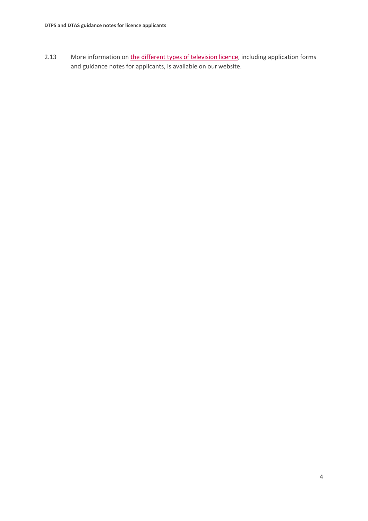2.13 More information on [the different types of television licence,](https://www.ofcom.org.uk/manage-your-licence/tv-broadcast-licences/apply-for-a-tv-broadcast-licence) including application forms and guidance notes for applicants, is available on our website.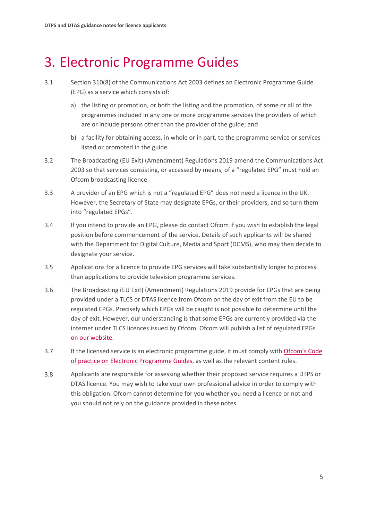# <span id="page-6-0"></span>3. Electronic Programme Guides

- 3.1 Section 310(8) of the Communications Act 2003 defines an Electronic Programme Guide (EPG) as a service which consists of:
	- a) the listing or promotion, or both the listing and the promotion, of some or all of the programmes included in any one or more programme services the providers of which are or include persons other than the provider of the guide; and
	- b) a facility for obtaining access, in whole or in part, to the programme service or services listed or promoted in the guide.
- 3.2 The Broadcasting (EU Exit) (Amendment) Regulations 2019 amend the Communications Act 2003 so that services consisting, or accessed by means, of a "regulated EPG" must hold an Ofcom broadcasting licence.
- 3.3 A provider of an EPG which is not a "regulated EPG" does not need a licence in the UK. However, the Secretary of State may designate EPGs, or their providers, and so turn them into "regulated EPGs".
- 3.4 If you intend to provide an EPG, please do contact Ofcom if you wish to establish the legal position before commencement of the service. Details of such applicants will be shared with the Department for Digital Culture, Media and Sport (DCMS), who may then decide to designate your service.
- 3.5 Applications for a licence to provide EPG services will take substantially longer to process than applications to provide television programme services.
- 3.6 The Broadcasting (EU Exit) (Amendment) Regulations 2019 provide for EPGs that are being provided under a TLCS or DTAS licence from Ofcom on the day of exit from the EU to be regulated EPGs. Precisely which EPGs will be caught is not possible to determine until the day of exit. However, our understanding is that some EPGs are currently provided via the internet under TLCS licences issued by Ofcom. Ofcom will publish a list of regulated EPGs on our [website.](https://www.ofcom.org.uk/manage-your-licence/tv-broadcast-licences/guidance-for-tv-broadcast-licensees)
- 3.7 If the licensed service is an electronic programme guide, it must comply with [Ofcom's Code](https://www.ofcom.org.uk/__data/assets/pdf_file/0031/19399/epgcode.pdf)  [of practice on Electronic Programme Guides,](https://www.ofcom.org.uk/__data/assets/pdf_file/0031/19399/epgcode.pdf) as well as the relevant content rules.
- 3.8 Applicants are responsible for assessing whether their proposed service requires a DTPS or DTAS licence. You may wish to take your own professional advice in order to comply with this obligation. Ofcom cannot determine for you whether you need a licence or not and you should not rely on the guidance provided in these notes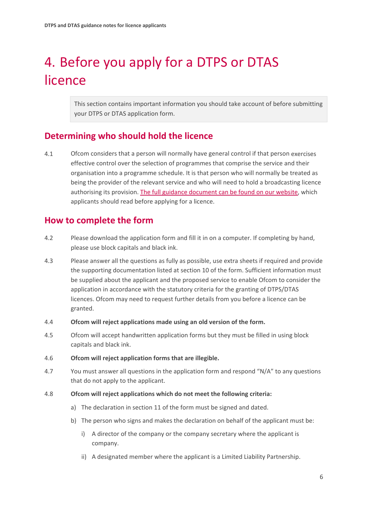# <span id="page-7-0"></span>4. Before you apply for a DTPS or DTAS licence

This section contains important information you should take account of before submitting your DTPS or DTAS application form.

## **Determining who should hold the licence**

4.1 Ofcom considers that a person will normally have general control if that person exercises effective control over the selection of programmes that comprise the service and their organisation into a programme schedule. It is that person who will normally be treated as being the provider of the relevant service and who will need to hold a broadcasting licence authorising its provision. [The full guidance document can be found on our website,](https://www.ofcom.org.uk/__data/assets/pdf_file/0019/8326/service-provider.pdf) which applicants should read before applying for a licence.

## **How to complete the form**

- 4.2 Please download the application form and fill it in on a computer. If completing by hand, please use block capitals and black ink.
- 4.3 Please answer all the questions as fully as possible, use extra sheets if required and provide the supporting documentation listed at section 10 of the form. Sufficient information must be supplied about the applicant and the proposed service to enable Ofcom to consider the application in accordance with the statutory criteria for the granting of DTPS/DTAS licences. Ofcom may need to request further details from you before a licence can be granted.
- 4.4 **Ofcom will reject applications made using an old version of the form.**
- 4.5 Ofcom will accept handwritten application forms but they must be filled in using block capitals and black ink.
- 4.6 **Ofcom will reject application forms that are illegible.**
- 4.7 You must answer all questions in the application form and respond "N/A" to any questions that do not apply to the applicant.
- 4.8 **Ofcom will reject applications which do not meet the following criteria:**
	- a) The declaration in section 11 of the form must be signed and dated.
	- b) The person who signs and makes the declaration on behalf of the applicant must be:
		- i) A director of the company or the company secretary where the applicant is company.
		- ii) A designated member where the applicant is a Limited Liability Partnership.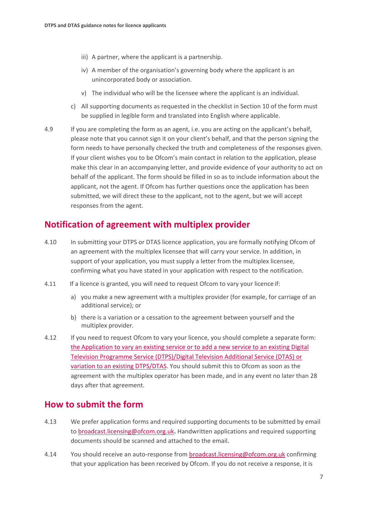- iii) A partner, where the applicant is a partnership.
- iv) A member of the organisation's governing body where the applicant is an unincorporated body or association.
- v) The individual who will be the licensee where the applicant is an individual.
- c) All supporting documents as requested in the checklist in Section 10 of the form must be supplied in legible form and translated into English where applicable.
- 4.9 If you are completing the form as an agent, i.e. you are acting on the applicant's behalf, please note that you cannot sign it on your client's behalf, and that the person signing the form needs to have personally checked the truth and completeness of the responses given. If your client wishes you to be Ofcom's main contact in relation to the application, please make this clear in an accompanying letter, and provide evidence of your authority to act on behalf of the applicant. The form should be filled in so as to include information about the applicant, not the agent. If Ofcom has further questions once the application has been submitted, we will direct these to the applicant, not to the agent, but we will accept responses from the agent.

### **Notification of agreement with multiplex provider**

- 4.10 In submitting your DTPS or DTAS licence application, you are formally notifying Ofcom of an agreement with the multiplex licensee that will carry your service. In addition, in support of your application, you must supply a letter from the multiplex licensee, confirming what you have stated in your application with respect to the notification.
- 4.11 If a licence is granted, you will need to request Ofcom to vary your licence if:
	- a) you make a new agreement with a multiplex provider (for example, for carriage of an additional service); or
	- b) there is a variation or a cessation to the agreement between yourself and the multiplex provider.
- 4.12 If you need to request Ofcom to vary your licence, you should complete a separate form: [the Application to vary an existing service or to add a new service to an existing Digital](https://www.ofcom.org.uk/manage-your-licence/tv-broadcast-licences/changes-to-tv-broadcast-licences)  [Television Programme Service \(DTPS\)/Digital Television Additional Service \(DTAS\) or](https://www.ofcom.org.uk/manage-your-licence/tv-broadcast-licences/changes-to-tv-broadcast-licences)  [variation to an existing DTPS/DTAS.](https://www.ofcom.org.uk/manage-your-licence/tv-broadcast-licences/changes-to-tv-broadcast-licences) You should submit this to Ofcom as soon as the agreement with the multiplex operator has been made, and in any event no later than 28 days after that agreement.

### **How to submit the form**

- 4.13 We prefer application forms and required supporting documents to be submitted by email to [broadcast.licensing@ofcom.org.uk](mailto:broadcast.licensing@ofcom.org.uk)**.** Handwritten applications and required supporting documents should be scanned and attached to the email.
- 4.14 You should receive an auto-response from [broadcast.licensing@ofcom.org.uk](mailto:broadcast.licensing@ofcom.org.uk) confirming that your application has been received by Ofcom. If you do not receive a response, it is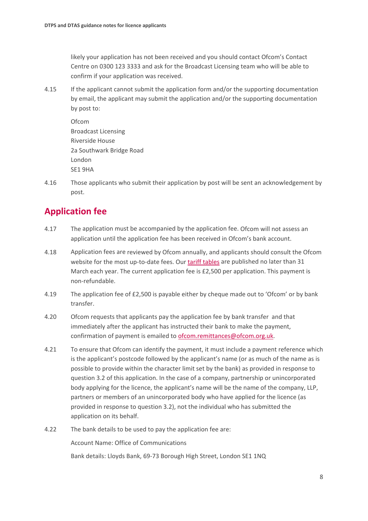likely your application has not been received and you should contact Ofcom's Contact Centre on 0300 123 3333 and ask for the Broadcast Licensing team who will be able to confirm if your application was received.

4.15 If the applicant cannot submit the application form and/or the supporting documentation by email, the applicant may submit the application and/or the supporting documentation by post to:

Ofcom Broadcast Licensing Riverside House 2a Southwark Bridge Road London SE1 9HA

4.16 Those applicants who submit their application by post will be sent an acknowledgement by post.

## **Application fee**

- 4.17 The application must be accompanied by the application fee. Ofcom will not assess an application until the application fee has been received in Ofcom's bank account.
- 4.18 Application fees are reviewed by Ofcom annually, and applicants should consult the Ofcom website for the most up-to-date fees. Our [tariff tables](https://www.ofcom.org.uk/about-ofcom/annual-reports-and-plans/tariff-tables) are published no later than 31 March each year. The current application fee is £2,500 per application. This payment is non-refundable.
- 4.19 The application fee of £2,500 is payable either by cheque made out to 'Ofcom' or by bank transfer.
- 4.20 Ofcom requests that applicants pay the application fee by bank transfer and that immediately after the applicant has instructed their bank to make the payment, confirmation of payment is emailed to [ofcom.remittances@ofcom.org.uk.](mailto:ofcom.remittances@ofcom.org.uk)
- 4.21 To ensure that Ofcom can identify the payment, it must include a payment reference which is the applicant's postcode followed by the applicant's name (or as much of the name as is possible to provide within the character limit set by the bank) as provided in response to question 3.2 of this application. In the case of a company, partnership or unincorporated body applying for the licence, the applicant's name will be the name of the company, LLP, partners or members of an unincorporated body who have applied for the licence (as provided in response to question 3.2), not the individual who has submitted the application on its behalf.
- 4.22 The bank details to be used to pay the application fee are:

Account Name: Office of Communications

Bank details: Lloyds Bank, 69-73 Borough High Street, London SE1 1NQ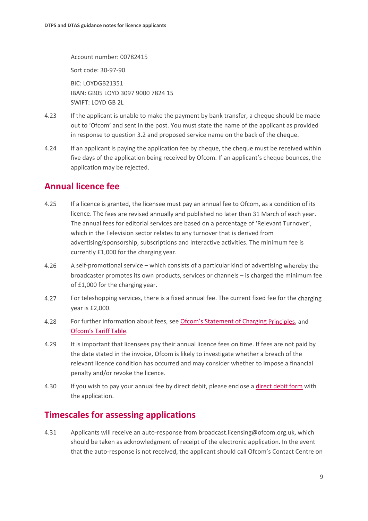Account number: 00782415

Sort code: 30-97-90

BIC: LOYDGB21351 IBAN: GB05 LOYD 3097 9000 7824 15 SWIFT: LOYD GB 2L

- 4.23 If the applicant is unable to make the payment by bank transfer, a cheque should be made out to 'Ofcom' and sent in the post. You must state the name of the applicant as provided in response to question 3.2 and proposed service name on the back of the cheque.
- 4.24 If an applicant is paying the application fee by cheque, the cheque must be received within five days of the application being received by Ofcom. If an applicant's cheque bounces, the application may be rejected.

## **Annual licence fee**

- 4.25 If a licence is granted, the licensee must pay an annual fee to Ofcom, as a condition of its licence. The fees are revised annually and published no later than 31 March of each year. The annual fees for editorial services are based on a percentage of 'Relevant Turnover', which in the Television sector relates to any turnover that is derived from advertising/sponsorship, subscriptions and interactive activities. The minimum fee is currently £1,000 for the charging year.
- 4.26 A self-promotional service which consists of a particular kind of advertising whereby the broadcaster promotes its own products, services or channels – is charged the minimum fee of £1,000 for the charging year.
- 4.27 For teleshopping services, there is a fixed annual fee. The current fixed fee for the charging year is £2,000.
- 4.28 For further information about fees, see [Ofcom's Statement of Charging Principles,](https://www.ofcom.org.uk/__data/assets/pdf_file/0019/51058/charging_principles.pdf) and [Ofcom's Tariff](https://www.ofcom.org.uk/about-ofcom/annual-reports-and-plans/tariff-tables) Table.
- 4.29 It is important that licensees pay their annual licence fees on time. If fees are not paid by the date stated in the invoice, Ofcom is likely to investigate whether a breach of the relevant licence condition has occurred and may consider whether to impose a financial penalty and/or revoke the licence.
- 4.30 If you wish to pay your annual fee by direct debit, please enclose a [direct debit form](https://www.ofcom.org.uk/__data/assets/pdf_file/0012/20136/dd.pdf) with the application.

## **Timescales for assessing applications**

4.31 Applicants will receive an auto-response from broadcast.licensing@ofcom.org.uk, which should be taken as acknowledgment of receipt of the electronic application. In the event that the auto-response is not received, the applicant should call Ofcom's Contact Centre on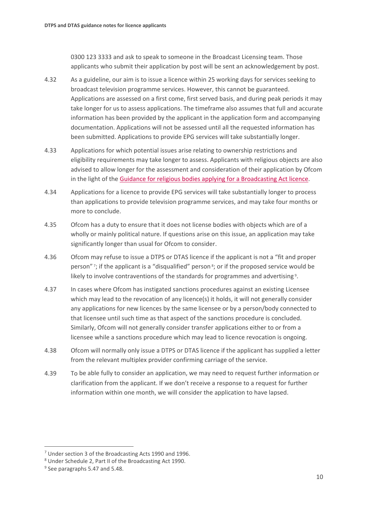0300 123 3333 and ask to speak to someone in the Broadcast Licensing team. Those applicants who submit their application by post will be sent an acknowledgement by post.

- 4.32 As a guideline, our aim is to issue a licence within 25 working days for services seeking to broadcast television programme services. However, this cannot be guaranteed. Applications are assessed on a first come, first served basis, and during peak periods it may take longer for us to assess applications. The timeframe also assumes that full and accurate information has been provided by the applicant in the application form and accompanying documentation. Applications will not be assessed until all the requested information has been submitted. Applications to provide EPG services will take substantially longer.
- 4.33 Applications for which potential issues arise relating to ownership restrictions and eligibility requirements may take longer to assess. Applicants with religious objects are also advised to allow longer for the assessment and consideration of their application by Ofcom in the light of the [Guidance for religious bodies applying for a Broadcasting Act licence.](https://www.ofcom.org.uk/__data/assets/pdf_file/0028/88219/Guidance-for-religious-bodies.pdf)
- 4.34 Applications for a licence to provide EPG services will take substantially longer to process than applications to provide television programme services, and may take four months or more to conclude.
- 4.35 Ofcom has a duty to ensure that it does not license bodies with objects which are of a wholly or mainly political nature. If questions arise on this issue, an application may take significantly longer than usual for Ofcom to consider.
- 4.36 Ofcom may refuse to issue a DTPS or DTAS licence if the applicant is not a "fit and proper person" [7;](#page-11-0) if the applicant is a "disqualified" person<sup>8</sup>; or if the proposed service would be likely to involve contraventions of the standards for programmes and advertising [9](#page-11-2).
- 4.37 In cases where Ofcom has instigated sanctions procedures against an existing Licensee which may lead to the revocation of any licence(s) it holds, it will not generally consider any applications for new licences by the same licensee or by a person/body connected to that licensee until such time as that aspect of the sanctions procedure is concluded. Similarly, Ofcom will not generally consider transfer applications either to or from a licensee while a sanctions procedure which may lead to licence revocation is ongoing.
- 4.38 Ofcom will normally only issue a DTPS or DTAS licence if the applicant has supplied a letter from the relevant multiplex provider confirming carriage of the service.
- 4.39 To be able fully to consider an application, we may need to request further information or clarification from the applicant. If we don't receive a response to a request for further information within one month, we will consider the application to have lapsed.

<span id="page-11-0"></span> $<sup>7</sup>$  Under section 3 of the Broadcasting Acts 1990 and 1996.</sup>

<span id="page-11-1"></span><sup>8</sup> Under Schedule 2, Part II of the Broadcasting Act 1990.

<span id="page-11-2"></span><sup>&</sup>lt;sup>9</sup> See paragraphs 5.47 and 5.48.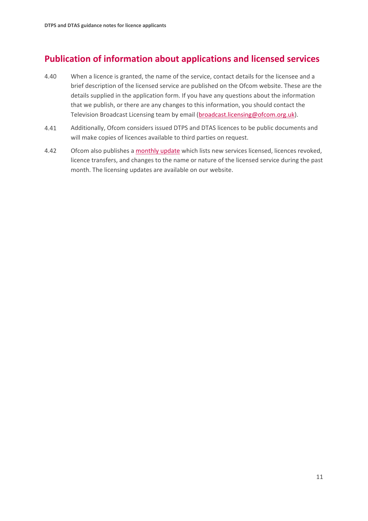# **Publication of information about applications and licensed services**

- 4.40 When a licence is granted, the name of the service, contact details for the licensee and a brief description of the licensed service are published on the Ofcom website. These are the details supplied in the application form. If you have any questions about the information that we publish, or there are any changes to this information, you should contact the Television Broadcast Licensing team by email [\(broadcast.licensing@ofcom.org.uk\)](mailto:broadcast.licensing@ofcom.org.uk).
- 4.41 Additionally, Ofcom considers issued DTPS and DTAS licences to be public documents and will make copies of licences available to third parties on request.
- 4.42 Ofcom also publishes a [monthly update](https://www.ofcom.org.uk/manage-your-licence/tv-broadcast-licences/updates) which lists new services licensed, licences revoked, licence transfers, and changes to the name or nature of the licensed service during the past month. The licensing updates are available on our website.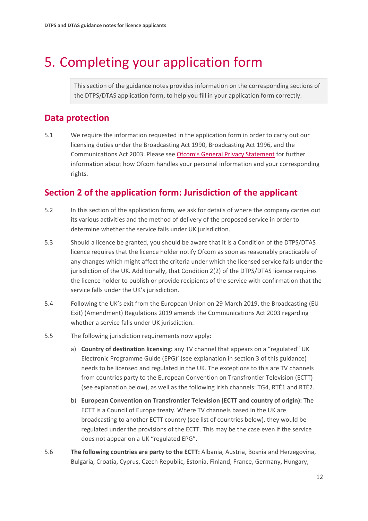# <span id="page-13-0"></span>5. Completing your application form

This section of the guidance notes provides information on the corresponding sections of the DTPS/DTAS application form, to help you fill in your application form correctly.

## **Data protection**

5.1 We require the information requested in the application form in order to carry out our licensing duties under the Broadcasting Act 1990, Broadcasting Act 1996, and the Communications Act 2003. Please see [Ofcom's General Privacy Statement](http://www.ofcom.org.uk/about-ofcom/foi-dp/general-privacy-statement) for further information about how Ofcom handles your personal information and your corresponding rights.

## **Section 2 of the application form: Jurisdiction of the applicant**

- 5.2 In this section of the application form, we ask for details of where the company carries out its various activities and the method of delivery of the proposed service in order to determine whether the service falls under UK jurisdiction.
- 5.3 Should a licence be granted, you should be aware that it is a Condition of the DTPS/DTAS licence requires that the licence holder notify Ofcom as soon as reasonably practicable of any changes which might affect the criteria under which the licensed service falls under the jurisdiction of the UK. Additionally, that Condition 2(2) of the DTPS/DTAS licence requires the licence holder to publish or provide recipients of the service with confirmation that the service falls under the UK's jurisdiction.
- 5.4 Following the UK's exit from the European Union on 29 March 2019, the Broadcasting (EU Exit) (Amendment) Regulations 2019 amends the Communications Act 2003 regarding whether a service falls under UK jurisdiction.
- 5.5 The following jurisdiction requirements now apply:
	- a) **Country of destination licensing:** any TV channel that appears on a "regulated" UK Electronic Programme Guide (EPG)' (see explanation in section 3 of this guidance) needs to be licensed and regulated in the UK. The exceptions to this are TV channels from countries party to the European Convention on Transfrontier Television (ECTT) (see explanation below), as well as the following Irish channels: TG4, RTÉ1 and RTÉ2.
	- b) **European Convention on Transfrontier Television (ECTT and country of origin):** The ECTT is a Council of Europe treaty. Where TV channels based in the UK are broadcasting to another ECTT country (see list of countries below), they would be regulated under the provisions of the ECTT. This may be the case even if the service does not appear on a UK "regulated EPG".
- 5.6 **The following countries are party to the ECTT:** Albania, Austria, Bosnia and Herzegovina, Bulgaria, Croatia, Cyprus, Czech Republic, Estonia, Finland, France, Germany, Hungary,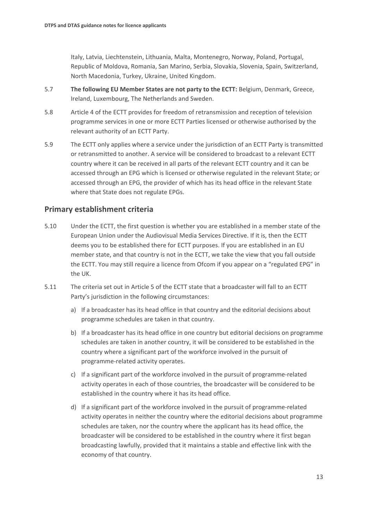Italy, Latvia, Liechtenstein, Lithuania, Malta, Montenegro, Norway, Poland, Portugal, Republic of Moldova, Romania, San Marino, Serbia, Slovakia, Slovenia, Spain, Switzerland, North Macedonia, Turkey, Ukraine, United Kingdom.

- 5.7 **The following EU Member States are not party to the ECTT:** Belgium, Denmark, Greece, Ireland, Luxembourg, The Netherlands and Sweden.
- 5.8 Article 4 of the ECTT provides for freedom of retransmission and reception of television programme services in one or more ECTT Parties licensed or otherwise authorised by the relevant authority of an ECTT Party.
- 5.9 The ECTT only applies where a service under the jurisdiction of an ECTT Party is transmitted or retransmitted to another. A service will be considered to broadcast to a relevant ECTT country where it can be received in all parts of the relevant ECTT country and it can be accessed through an EPG which is licensed or otherwise regulated in the relevant State; or accessed through an EPG, the provider of which has its head office in the relevant State where that State does not regulate EPGs.

#### **Primary establishment criteria**

- 5.10 Under the ECTT, the first question is whether you are established in a member state of the European Union under the Audiovisual Media Services Directive. If it is, then the ECTT deems you to be established there for ECTT purposes. If you are established in an EU member state, and that country is not in the ECTT, we take the view that you fall outside the ECTT. You may still require a licence from Ofcom if you appear on a "regulated EPG" in the UK.
- 5.11 The criteria set out in Article 5 of the ECTT state that a broadcaster will fall to an ECTT Party's jurisdiction in the following circumstances:
	- a) If a broadcaster has its head office in that country and the editorial decisions about programme schedules are taken in that country.
	- b) If a broadcaster has its head office in one country but editorial decisions on programme schedules are taken in another country, it will be considered to be established in the country where a significant part of the workforce involved in the pursuit of programme-related activity operates.
	- c) If a significant part of the workforce involved in the pursuit of programme-related activity operates in each of those countries, the broadcaster will be considered to be established in the country where it has its head office.
	- d) If a significant part of the workforce involved in the pursuit of programme-related activity operates in neither the country where the editorial decisions about programme schedules are taken, nor the country where the applicant has its head office, the broadcaster will be considered to be established in the country where it first began broadcasting lawfully, provided that it maintains a stable and effective link with the economy of that country.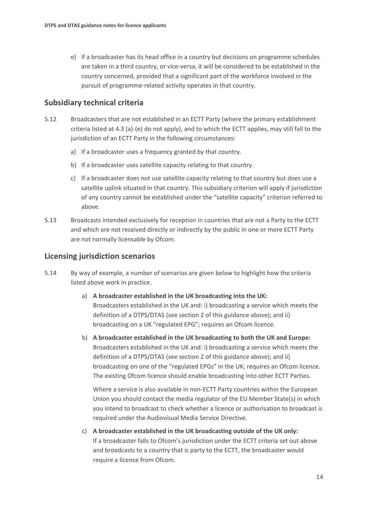e) If a broadcaster has its head office in a country but decisions on programme schedules are taken in a third country, or vice-versa, it will be considered to be established in the country concerned, provided that a significant part of the workforce involved in the pursuit of programme-related activity operates in that country.

#### **Subsidiary technical criteria**

- 5.12 Broadcasters that are not established in an ECTT Party (where the primary establishment criteria listed at 4.3 (a)-(e) do not apply), and to which the ECTT applies, may still fall to the jurisdiction of an ECTT Party in the following circumstances:
	- a) If a broadcaster uses a frequency granted by that country.
	- b) If a broadcaster uses satellite capacity relating to that country.
	- c) If a broadcaster does not use satellite capacity relating to that country but does use a satellite uplink situated in that country. This subsidiary criterion will apply if jurisdiction of any country cannot be established under the "satellite capacity" criterion referred to above.
- 5.13 Broadcasts intended exclusively for reception in countries that are not a Party to the ECTT and which are not received directly or indirectly by the public in one or more ECTT Party are not normally licensable by Ofcom.

#### **Licensing jurisdiction scenarios**

- 5.14 By way of example, a number of scenarios are given below to highlight how the criteria listed above work in practice.
	- a) **A broadcaster established in the UK broadcasting into the UK:** Broadcasters established in the UK and: i) broadcasting a service which meets the definition of a DTPS/DTAS (see section 2 of this guidance above); and ii) broadcasting on a UK "regulated EPG"; requires an Ofcom licence.
	- b) **A broadcaster established in the UK broadcasting to both the UK and Europe:** Broadcasters established in the UK and: i) broadcasting a service which meets the definition of a DTPS/DTAS (see section 2 of this guidance above); and ii) broadcasting on one of the "regulated EPGs" in the UK; requires an Ofcom licence. The existing Ofcom licence should enable broadcasting into other ECTT Parties.

Where a service is also available in non-ECTT Party countries within the European Union you should contact the media regulator of the EU Member State(s) in which you intend to broadcast to check whether a licence or authorisation to broadcast is required under the Audiovisual Media Service Directive.

c) **A broadcaster established in the UK broadcasting outside of the UK only:** If a broadcaster falls to Ofcom's jurisdiction under the ECTT criteria set out above and broadcasts to a country that is party to the ECTT, the broadcaster would require a licence from Ofcom.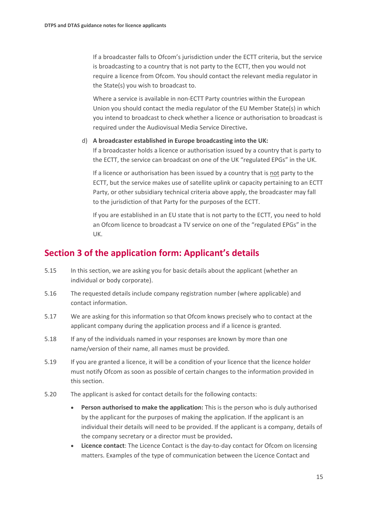If a broadcaster falls to Ofcom's jurisdiction under the ECTT criteria, but the service is broadcasting to a country that is not party to the ECTT, then you would not require a licence from Ofcom. You should contact the relevant media regulator in the State(s) you wish to broadcast to.

Where a service is available in non-ECTT Party countries within the European Union you should contact the media regulator of the EU Member State(s) in which you intend to broadcast to check whether a licence or authorisation to broadcast is required under the Audiovisual Media Service Directive**.**

#### d) **A broadcaster established in Europe broadcasting into the UK:**

If a broadcaster holds a licence or authorisation issued by a country that is party to the ECTT, the service can broadcast on one of the UK "regulated EPGs" in the UK.

If a licence or authorisation has been issued by a country that is not party to the ECTT, but the service makes use of satellite uplink or capacity pertaining to an ECTT Party, or other subsidiary technical criteria above apply, the broadcaster may fall to the jurisdiction of that Party for the purposes of the ECTT.

If you are established in an EU state that is not party to the ECTT, you need to hold an Ofcom licence to broadcast a TV service on one of the "regulated EPGs" in the UK.

### **Section 3 of the application form: Applicant's details**

- 5.15 In this section, we are asking you for basic details about the applicant (whether an individual or body corporate).
- 5.16 The requested details include company registration number (where applicable) and contact information.
- 5.17 We are asking for this information so that Ofcom knows precisely who to contact at the applicant company during the application process and if a licence is granted.
- 5.18 If any of the individuals named in your responses are known by more than one name/version of their name, all names must be provided.
- 5.19 If you are granted a licence, it will be a condition of your licence that the licence holder must notify Ofcom as soon as possible of certain changes to the information provided in this section.
- 5.20 The applicant is asked for contact details for the following contacts:
	- **Person authorised to make the application:** This is the person who is duly authorised by the applicant for the purposes of making the application. If the applicant is an individual their details will need to be provided. If the applicant is a company, details of the company secretary or a director must be provided**.**
	- **Licence contact**: The Licence Contact is the day-to-day contact for Ofcom on licensing matters. Examples of the type of communication between the Licence Contact and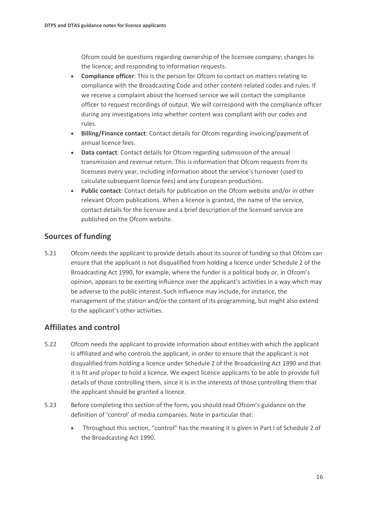Ofcom could be questions regarding ownership of the licensee company; changes to the licence; and responding to information requests.

- **Compliance officer**: This is the person for Ofcom to contact on matters relating to compliance with the Broadcasting Code and other content-related codes and rules. If we receive a complaint about the licensed service we will contact the compliance officer to request recordings of output. We will correspond with the compliance officer during any investigations into whether content was compliant with our codes and rules.
- **Billing/Finance contact**: Contact details for Ofcom regarding invoicing/payment of annual licence fees.
- **Data contact**: Contact details for Ofcom regarding submission of the annual transmission and revenue return. This is information that Ofcom requests from its licensees every year, including information about the service's turnover (used to calculate subsequent licence fees) and any European productions.
- **Public contact**: Contact details for publication on the Ofcom website and/or in other relevant Ofcom publications. When a licence is granted, the name of the service, contact details for the licensee and a brief description of the licensed service are published on the Ofcom website.

#### **Sources of funding**

5.21 Ofcom needs the applicant to provide details about its source of funding so that Ofcom can ensure that the applicant is not disqualified from holding a licence under Schedule 2 of the Broadcasting Act 1990, for example, where the funder is a political body or, in Ofcom's opinion, appears to be exerting influence over the applicant's activities in a way which may be adverse to the public interest. Such influence may include, for instance, the management of the station and/or the content of its programming, but might also extend to the applicant's other activities.

#### **Affiliates and control**

- 5.22 Ofcom needs the applicant to provide information about entities with which the applicant is affiliated and who controls the applicant, in order to ensure that the applicant is not disqualified from holding a licence under Schedule 2 of the Broadcasting Act 1990 and that it is fit and proper to hold a licence. We expect licence applicants to be able to provide full details of those controlling them, since it is in the interests of those controlling them that the applicant should be granted a licence.
- 5.23 Before completing this section of the form, you should read Ofcom's guidance on the definition of 'control' of media companies. Note in particular that:
	- Throughout this section, "control" has the meaning it is given in Part I of Schedule 2 of the Broadcasting Act 1990.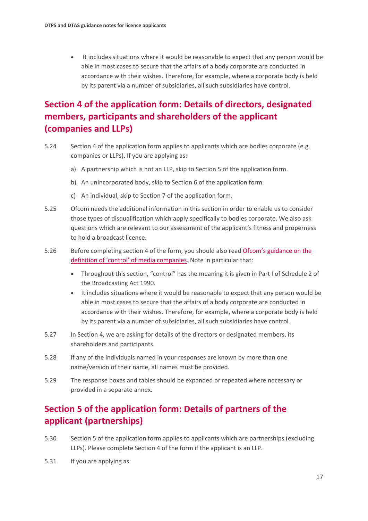• It includes situations where it would be reasonable to expect that any person would be able in most cases to secure that the affairs of a body corporate are conducted in accordance with their wishes. Therefore, for example, where a corporate body is held by its parent via a number of subsidiaries, all such subsidiaries have control.

# **Section 4 of the application form: Details of directors, designated members, participants and shareholders of the applicant (companies and LLPs)**

- 5.24 Section 4 of the application form applies to applicants which are bodies corporate (e.g. companies or LLPs). If you are applying as:
	- a) A partnership which is not an LLP, skip to Section 5 of the application form.
	- b) An unincorporated body, skip to Section 6 of the application form.
	- c) An individual, skip to Section 7 of the application form.
- 5.25 Ofcom needs the additional information in this section in order to enable us to consider those types of disqualification which apply specifically to bodies corporate. We also ask questions which are relevant to our assessment of the applicant's fitness and properness to hold a broadcast licence.
- 5.26 Before completing section 4 of the form, you should also read [Ofcom's guidance on the](https://www.ofcom.org.uk/__data/assets/pdf_file/0022/45292/media_statement.pdf)  [definition of 'control' of media companies.](https://www.ofcom.org.uk/__data/assets/pdf_file/0022/45292/media_statement.pdf) Note in particular that:
	- Throughout this section, "control" has the meaning it is given in Part I of Schedule 2 of the Broadcasting Act 1990.
	- It includes situations where it would be reasonable to expect that any person would be able in most cases to secure that the affairs of a body corporate are conducted in accordance with their wishes. Therefore, for example, where a corporate body is held by its parent via a number of subsidiaries, all such subsidiaries have control.
- 5.27 In Section 4, we are asking for details of the directors or designated members, its shareholders and participants.
- 5.28 If any of the individuals named in your responses are known by more than one name/version of their name, all names must be provided.
- 5.29 The response boxes and tables should be expanded or repeated where necessary or provided in a separate annex.

# **Section 5 of the application form: Details of partners of the applicant (partnerships)**

- 5.30 Section 5 of the application form applies to applicants which are partnerships (excluding LLPs). Please complete Section 4 of the form if the applicant is an LLP.
- 5.31 If you are applying as: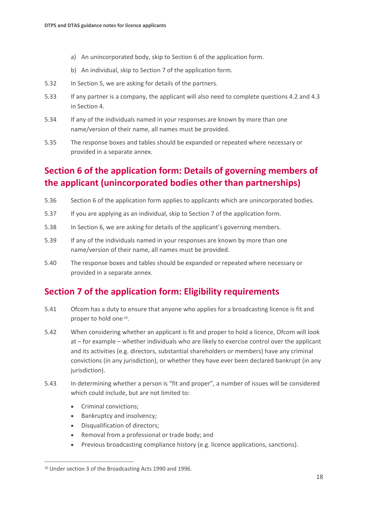- a) An unincorporated body, skip to Section 6 of the application form.
- b) An individual, skip to Section 7 of the application form.
- 5.32 In Section 5, we are asking for details of the partners.
- 5.33 If any partner is a company, the applicant will also need to complete questions 4.2 and 4.3 in Section 4.
- 5.34 If any of the individuals named in your responses are known by more than one name/version of their name, all names must be provided.
- 5.35 The response boxes and tables should be expanded or repeated where necessary or provided in a separate annex.

# **Section 6 of the application form: Details of governing members of the applicant (unincorporated bodies other than partnerships)**

- 5.36 Section 6 of the application form applies to applicants which are unincorporated bodies.
- 5.37 If you are applying as an individual, skip to Section 7 of the application form.
- 5.38 In Section 6, we are asking for details of the applicant's governing members.
- 5.39 If any of the individuals named in your responses are known by more than one name/version of their name, all names must be provided.
- 5.40 The response boxes and tables should be expanded or repeated where necessary or provided in a separate annex.

## **Section 7 of the application form: Eligibility requirements**

- 5.41 Ofcom has a duty to ensure that anyone who applies for a broadcasting licence is fit and proper to hold one [10.](#page-19-0)
- 5.42 When considering whether an applicant is fit and proper to hold a licence, Ofcom will look at – for example – whether individuals who are likely to exercise control over the applicant and its activities (e.g. directors, substantial shareholders or members) have any criminal convictions (in any jurisdiction), or whether they have ever been declared bankrupt (in any jurisdiction).
- 5.43 In determining whether a person is "fit and proper", a number of issues will be considered which could include, but are not limited to:
	- Criminal convictions;
	- Bankruptcy and insolvency;
	- Disqualification of directors;
	- Removal from a professional or trade body; and
	- Previous broadcasting compliance history (e.g. licence applications, sanctions).

<span id="page-19-0"></span><sup>10</sup> Under section 3 of the Broadcasting Acts 1990 and 1996.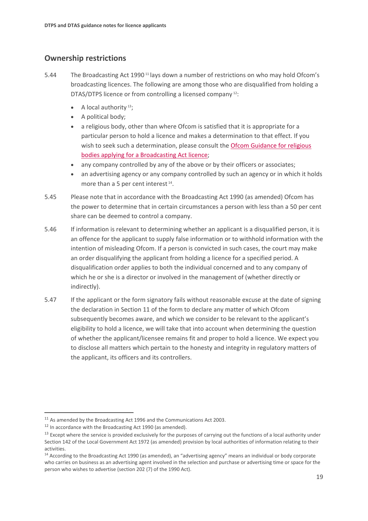### **Ownership restrictions**

- 5.44 The Broadcasting Act 1990<sup>[11](#page-20-0)</sup> lays down a number of restrictions on who may hold Ofcom's broadcasting licences. The following are among those who are disqualified from holding a DTAS/DTPS licence or from controlling a licensed company [12:](#page-20-1)
	- A local authority<sup>13</sup>;
	- A political body;
	- a religious body, other than where Ofcom is satisfied that it is appropriate for a particular person to hold a licence and makes a determination to that effect. If you wish to seek such a determination, please consult the Ofcom Guidance for religious [bodies applying for a Broadcasting Act](https://www.ofcom.org.uk/__data/assets/pdf_file/0028/88219/Guidance-for-religious-bodies.pdf) licence;
	- any company controlled by any of the above or by their officers or associates;
	- an advertising agency or any company controlled by such an agency or in which it holds more than a 5 per cent interest<sup>14</sup>.
- 5.45 Please note that in accordance with the Broadcasting Act 1990 (as amended) Ofcom has the power to determine that in certain circumstances a person with less than a 50 per cent share can be deemed to control a company.
- 5.46 If information is relevant to determining whether an applicant is a disqualified person, it is an offence for the applicant to supply false information or to withhold information with the intention of misleading Ofcom. If a person is convicted in such cases, the court may make an order disqualifying the applicant from holding a licence for a specified period. A disqualification order applies to both the individual concerned and to any company of which he or she is a director or involved in the management of (whether directly or indirectly).
- 5.47 If the applicant or the form signatory fails without reasonable excuse at the date of signing the declaration in Section 11 of the form to declare any matter of which Ofcom subsequently becomes aware, and which we consider to be relevant to the applicant's eligibility to hold a licence, we will take that into account when determining the question of whether the applicant/licensee remains fit and proper to hold a licence. We expect you to disclose all matters which pertain to the honesty and integrity in regulatory matters of the applicant, its officers and its controllers.

<span id="page-20-0"></span><sup>&</sup>lt;sup>11</sup> As amended by the Broadcasting Act 1996 and the Communications Act 2003.

<span id="page-20-1"></span> $12$  In accordance with the Broadcasting Act 1990 (as amended).

<span id="page-20-2"></span><sup>&</sup>lt;sup>13</sup> Except where the service is provided exclusively for the purposes of carrying out the functions of a local authority under Section 142 of the Local Government Act 1972 (as amended) provision by local authorities of information relating to their activities.

<span id="page-20-3"></span><sup>&</sup>lt;sup>14</sup> According to the Broadcasting Act 1990 (as amended), an "advertising agency" means an individual or body corporate who carries on business as an advertising agent involved in the selection and purchase or advertising time or space for the person who wishes to advertise (section 202 (7) of the 1990 Act).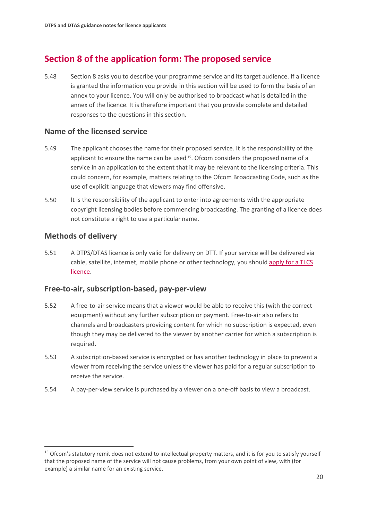# **Section 8 of the application form: The proposed service**

5.48 Section 8 asks you to describe your programme service and its target audience. If a licence is granted the information you provide in this section will be used to form the basis of an annex to your licence. You will only be authorised to broadcast what is detailed in the annex of the licence. It is therefore important that you provide complete and detailed responses to the questions in this section.

#### **Name of the licensed service**

- 5.49 The applicant chooses the name for their proposed service. It is the responsibility of the applicant to ensure the name can be used [15](#page-21-0). Ofcom considers the proposed name of a service in an application to the extent that it may be relevant to the licensing criteria. This could concern, for example, matters relating to the Ofcom Broadcasting Code, such as the use of explicit language that viewers may find offensive.
- 5.50 It is the responsibility of the applicant to enter into agreements with the appropriate copyright licensing bodies before commencing broadcasting. The granting of a licence does not constitute a right to use a particular name.

#### **Methods of delivery**

5.51 A DTPS/DTAS licence is only valid for delivery on DTT. If your service will be delivered via cable, satellite, internet, mobile phone or other technology, you shoul[d apply for a TLCS](https://www.ofcom.org.uk/manage-your-licence/tv-broadcast-licences/apply-for-a-tv-broadcast-licence)  [licence.](https://www.ofcom.org.uk/manage-your-licence/tv-broadcast-licences/apply-for-a-tv-broadcast-licence)

#### **Free-to-air, subscription-based, pay-per-view**

- 5.52 A free-to-air service means that a viewer would be able to receive this (with the correct equipment) without any further subscription or payment. Free-to-air also refers to channels and broadcasters providing content for which no subscription is expected, even though they may be delivered to the viewer by another carrier for which a subscription is required.
- 5.53 A subscription-based service is encrypted or has another technology in place to prevent a viewer from receiving the service unless the viewer has paid for a regular subscription to receive the service.
- 5.54 A pay-per-view service is purchased by a viewer on a one-off basis to view a broadcast.

<span id="page-21-0"></span><sup>&</sup>lt;sup>15</sup> Ofcom's statutory remit does not extend to intellectual property matters, and it is for you to satisfy vourself that the proposed name of the service will not cause problems, from your own point of view, with (for example) a similar name for an existing service.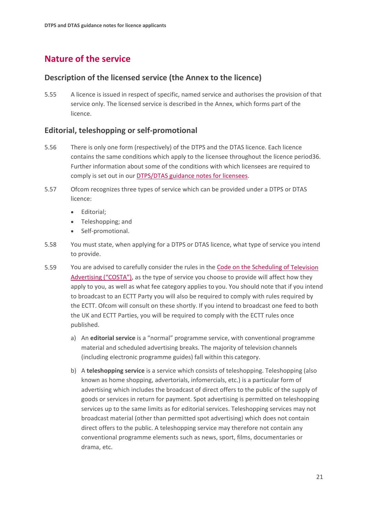# **Nature of the service**

#### **Description of the licensed service (the Annex to the licence)**

5.55 A licence is issued in respect of specific, named service and authorises the provision of that service only. The licensed service is described in the Annex, which forms part of the licence.

#### **Editorial, teleshopping or self-promotional**

- 5.56 There is only one form (respectively) of the DTPS and the DTAS licence. Each licence contains the same conditions which apply to the licensee throughout the licence period36. Further information about some of the conditions with which licensees are required to comply is set out in our **DTPS/DTAS** guidance notes for licensees.
- 5.57 Ofcom recognizes three types of service which can be provided under a DTPS or DTAS licence:
	- Editorial;
	- Teleshopping; and
	- Self-promotional.
- 5.58 You must state, when applying for a DTPS or DTAS licence, what type of service you intend to provide.
- 5.59 You are advised to carefully consider the rules in the [Code on the Scheduling of Television](https://www.ofcom.org.uk/__data/assets/pdf_file/0014/32162/costa-april-2016.pdf)  [Advertising \("COSTA"\),](https://www.ofcom.org.uk/__data/assets/pdf_file/0014/32162/costa-april-2016.pdf) as the type of service you choose to provide will affect how they apply to you, as well as what fee category applies to you. You should note that if you intend to broadcast to an ECTT Party you will also be required to comply with rules required by the ECTT. Ofcom will consult on these shortly. If you intend to broadcast one feed to both the UK and ECTT Parties, you will be required to comply with the ECTT rules once published.
	- a) An **editorial service** is a "normal" programme service, with conventional programme material and scheduled advertising breaks. The majority of television channels (including electronic programme guides) fall within this category.
	- b) A **teleshopping service** is a service which consists of teleshopping. Teleshopping (also known as home shopping, advertorials, infomercials, etc.) is a particular form of advertising which includes the broadcast of direct offers to the public of the supply of goods or services in return for payment. Spot advertising is permitted on teleshopping services up to the same limits as for editorial services. Teleshopping services may not broadcast material (other than permitted spot advertising) which does not contain direct offers to the public. A teleshopping service may therefore not contain any conventional programme elements such as news, sport, films, documentaries or drama, etc.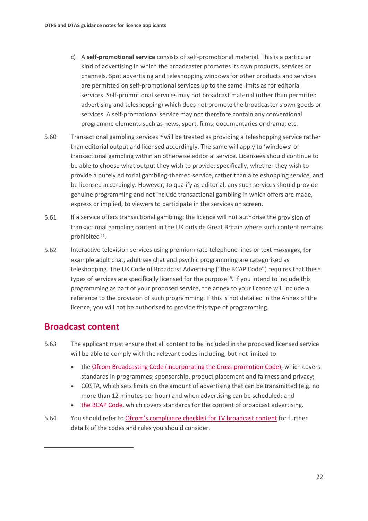- c) A **self-promotional service** consists of self-promotional material. This is a particular kind of advertising in which the broadcaster promotes its own products, services or channels. Spot advertising and teleshopping windowsfor other products and services are permitted on self-promotional services up to the same limits as for editorial services. Self-promotional services may not broadcast material (other than permitted advertising and teleshopping) which does not promote the broadcaster's own goods or services. A self-promotional service may not therefore contain any conventional programme elements such as news, sport, films, documentaries or drama, etc.
- 5.60 Transactional gambling services [16](#page-23-0) will be treated as providing a teleshopping service rather than editorial output and licensed accordingly. The same will apply to 'windows' of transactional gambling within an otherwise editorial service. Licensees should continue to be able to choose what output they wish to provide: specifically, whether they wish to provide a purely editorial gambling-themed service, rather than a teleshopping service, and be licensed accordingly. However, to qualify as editorial, any such services should provide genuine programming and not include transactional gambling in which offers are made, express or implied, to viewers to participate in the services on screen.
- 5.61 If a service offers transactional gambling; the licence will not authorise the provision of transactional gambling content in the UK outside Great Britain where such content remains prohibited [17](#page-23-1).
- 5.62 Interactive television services using premium rate telephone lines or text messages, for example adult chat, adult sex chat and psychic programming are categorised as teleshopping. The UK Code of Broadcast Advertising ("the BCAP Code") requires that these types of services are specifically licensed for the purpose<sup>[18](#page-23-2)</sup>. If you intend to include this programming as part of your proposed service, the annex to your licence will include a reference to the provision of such programming. If this is not detailed in the Annex of the licence, you will not be authorised to provide this type of programming.

### **Broadcast content**

- 5.63 The applicant must ensure that all content to be included in the proposed licensed service will be able to comply with the relevant codes including, but not limited to:
	- the [Ofcom Broadcasting Code \(incorporating the Cross-promotion Code\),](https://www.ofcom.org.uk/tv-radio-and-on-demand/broadcast-codes/broadcast-code) which covers standards in programmes, sponsorship, product placement and fairness and privacy;
	- COSTA, which sets limits on the amount of advertising that can be transmitted (e.g. no more than 12 minutes per hour) and when advertising can be scheduled; and
	- [the BCAP Code,](https://www.asa.org.uk/codes-and-rulings/advertising-codes.html) which covers standards for the content of broadcast advertising.
- <span id="page-23-2"></span><span id="page-23-1"></span><span id="page-23-0"></span>5.64 You should refer to [Ofcom's compliance checklist for TV broadcast content](https://www.ofcom.org.uk/__data/assets/pdf_file/0031/35779/TV-Compliance-Checklist.pdf) for further details of the codes and rules you should consider.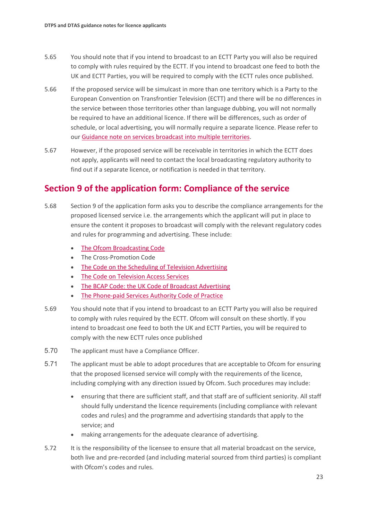- 5.65 You should note that if you intend to broadcast to an ECTT Party you will also be required to comply with rules required by the ECTT. If you intend to broadcast one feed to both the UK and ECTT Parties, you will be required to comply with the ECTT rules once published.
- 5.66 If the proposed service will be simulcast in more than one territory which is a Party to the European Convention on Transfrontier Television (ECTT) and there will be no differences in the service between those territories other than language dubbing, you will not normally be required to have an additional licence. If there will be differences, such as order of schedule, or local advertising, you will normally require a separate licence. Please refer to our [Guidance note on services broadcast into multiple territories.](https://www.ofcom.org.uk/__data/assets/pdf_file/0015/10437/licensing-position.pdf)
- 5.67 However, if the proposed service will be receivable in territories in which the ECTT does not apply, applicants will need to contact the local broadcasting regulatory authority to find out if a separate licence, or notification is needed in that territory.

## **Section 9 of the application form: Compliance of the service**

- 5.68 Section 9 of the application form asks you to describe the compliance arrangements for the proposed licensed service i.e. the arrangements which the applicant will put in place to ensure the content it proposes to broadcast will comply with the relevant regulatory codes and rules for programming and advertising. These include:
	- [The Ofcom Broadcasting Code](https://www.ofcom.org.uk/tv-radio-and-on-demand/broadcast-codes/broadcast-code)
	- The Cross-Promotion Code
	- [The Code on the Scheduling of Television Advertising](https://www.ofcom.org.uk/tv-radio-and-on-demand/broadcast-codes/code-tv-advertising)
	- [The Code on Television Access Services](https://www.ofcom.org.uk/tv-radio-and-on-demand/broadcast-codes/tv-access-services)
	- [The BCAP Code: the UK Code of Broadcast Advertising](https://www.asa.org.uk/codes-and-rulings/advertising-codes/broadcast-code.html)
	- [The Phone-paid Services Authority Code of Practice](https://psauthority.org.uk/for-business/code-guidance-and-compliance)
- 5.69 You should note that if you intend to broadcast to an ECTT Party you will also be required to comply with rules required by the ECTT. Ofcom will consult on these shortly. If you intend to broadcast one feed to both the UK and ECTT Parties, you will be required to comply with the new ECTT rules once published
- 5.70 The applicant must have a Compliance Officer.
- 5.71 The applicant must be able to adopt procedures that are acceptable to Ofcom for ensuring that the proposed licensed service will comply with the requirements of the licence, including complying with any direction issued by Ofcom. Such procedures may include:
	- ensuring that there are sufficient staff, and that staff are of sufficient seniority. All staff should fully understand the licence requirements (including compliance with relevant codes and rules) and the programme and advertising standards that apply to the service; and
	- making arrangements for the adequate clearance of advertising.
- 5.72 It is the responsibility of the licensee to ensure that all material broadcast on the service, both live and pre-recorded (and including material sourced from third parties) is compliant with Ofcom's codes and rules.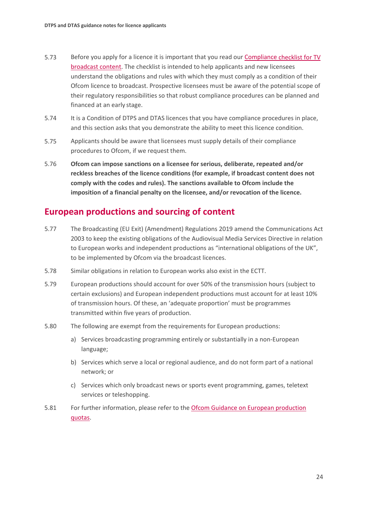- 5.73 Before you apply for a licence it is important that you read our [Compliance checklist for TV](https://www.ofcom.org.uk/__data/assets/pdf_file/0031/35779/TV-Compliance-Checklist.pdf)  [broadcast content.](https://www.ofcom.org.uk/__data/assets/pdf_file/0031/35779/TV-Compliance-Checklist.pdf) The checklist is intended to help applicants and new licensees understand the obligations and rules with which they must comply as a condition of their Ofcom licence to broadcast. Prospective licensees must be aware of the potential scope of their regulatory responsibilities so that robust compliance procedures can be planned and financed at an early stage.
- 5.74 It is a Condition of DTPS and DTAS licences that you have compliance procedures in place, and this section asks that you demonstrate the ability to meet this licence condition.
- 5.75 Applicants should be aware that licensees must supply details of their compliance procedures to Ofcom, if we request them.
- 5.76 **Ofcom can impose sanctions on a licensee for serious, deliberate, repeated and/or reckless breaches of the licence conditions (for example, if broadcast content does not comply with the codes and rules). The sanctions available to Ofcom include the imposition of a financial penalty on the licensee, and/or revocation of the licence.**

### **European productions and sourcing of content**

- 5.77 The Broadcasting (EU Exit) (Amendment) Regulations 2019 amend the Communications Act 2003 to keep the existing obligations of the Audiovisual Media Services Directive in relation to European works and independent productions as "international obligations of the UK", to be implemented by Ofcom via the broadcast licences.
- 5.78 Similar obligations in relation to European works also exist in the ECTT.
- 5.79 European productions should account for over 50% of the transmission hours (subject to certain exclusions) and European independent productions must account for at least 10% of transmission hours. Of these, an 'adequate proportion' must be programmes transmitted within five years of production.
- 5.80 The following are exempt from the requirements for European productions:
	- a) Services broadcasting programming entirely or substantially in a non-European language;
	- b) Services which serve a local or regional audience, and do not form part of a national network; or
	- c) Services which only broadcast news or sports event programming, games, teletext services or teleshopping.
- 5.81 For further information, please refer to the [Ofcom Guidance on European production](https://www.ofcom.org.uk/__data/assets/pdf_file/0018/12942/av-media-services.pdf)  [quotas.](https://www.ofcom.org.uk/__data/assets/pdf_file/0018/12942/av-media-services.pdf)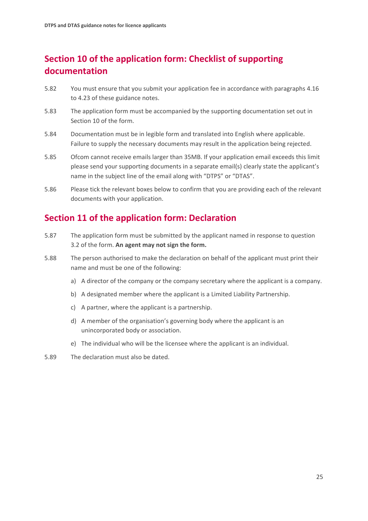# **Section 10 of the application form: Checklist of supporting documentation**

- 5.82 You must ensure that you submit your application fee in accordance with paragraphs 4.16 to 4.23 of these guidance notes.
- 5.83 The application form must be accompanied by the supporting documentation set out in Section 10 of the form.
- 5.84 Documentation must be in legible form and translated into English where applicable. Failure to supply the necessary documents may result in the application being rejected.
- 5.85 Ofcom cannot receive emails larger than 35MB. If your application email exceeds this limit please send your supporting documents in a separate email(s) clearly state the applicant's name in the subject line of the email along with "DTPS" or "DTAS".
- 5.86 Please tick the relevant boxes below to confirm that you are providing each of the relevant documents with your application.

# **Section 11 of the application form: Declaration**

- 5.87 The application form must be submitted by the applicant named in response to question 3.2 of the form. **An agent may not sign the form.**
- 5.88 The person authorised to make the declaration on behalf of the applicant must print their name and must be one of the following:
	- a) A director of the company or the company secretary where the applicant is a company.
	- b) A designated member where the applicant is a Limited Liability Partnership.
	- c) A partner, where the applicant is a partnership.
	- d) A member of the organisation's governing body where the applicant is an unincorporated body or association.
	- e) The individual who will be the licensee where the applicant is an individual.
- 5.89 The declaration must also be dated.